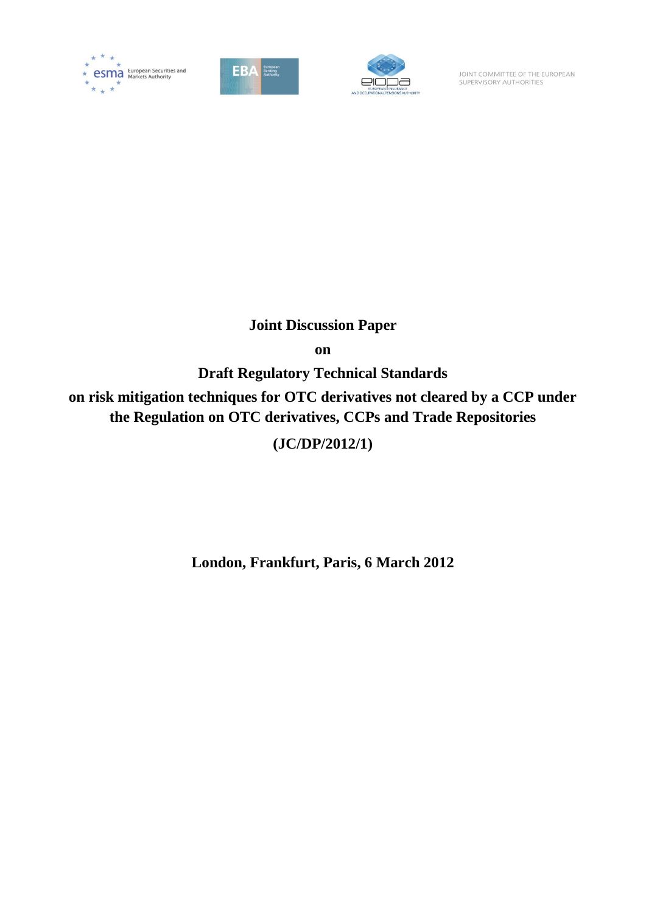





JOINT COMMITTEE OF THE EUROPEAN SUPERVISORY AUTHORITIES

# **Joint Discussion Paper**

**on**

**Draft Regulatory Technical Standards**

**on risk mitigation techniques for OTC derivatives not cleared by a CCP under the Regulation on OTC derivatives, CCPs and Trade Repositories**

# **(JC/DP/2012/1)**

**London, Frankfurt, Paris, 6 March 2012**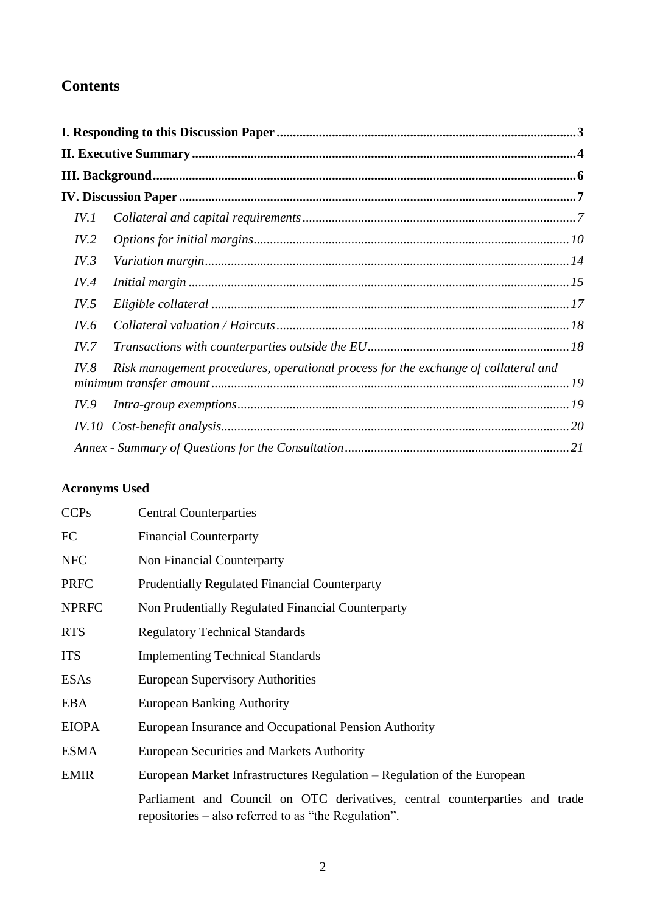# **Contents**

| IV. I       |                                                                                    |  |
|-------------|------------------------------------------------------------------------------------|--|
| IV.2        |                                                                                    |  |
| IV.3        |                                                                                    |  |
| IV.4        |                                                                                    |  |
| IV.5        |                                                                                    |  |
| IV.6        |                                                                                    |  |
| IV.7        |                                                                                    |  |
| IV.8        | Risk management procedures, operational process for the exchange of collateral and |  |
| <i>IV.9</i> |                                                                                    |  |
|             |                                                                                    |  |
|             |                                                                                    |  |

# **Acronyms Used**

| <b>CCPs</b>  | <b>Central Counterparties</b>                                                                                                       |
|--------------|-------------------------------------------------------------------------------------------------------------------------------------|
| FC           | <b>Financial Counterparty</b>                                                                                                       |
| <b>NFC</b>   | Non Financial Counterparty                                                                                                          |
| <b>PRFC</b>  | <b>Prudentially Regulated Financial Counterparty</b>                                                                                |
| <b>NPRFC</b> | Non Prudentially Regulated Financial Counterparty                                                                                   |
| <b>RTS</b>   | <b>Regulatory Technical Standards</b>                                                                                               |
| <b>ITS</b>   | <b>Implementing Technical Standards</b>                                                                                             |
| <b>ESAs</b>  | <b>European Supervisory Authorities</b>                                                                                             |
| <b>EBA</b>   | <b>European Banking Authority</b>                                                                                                   |
| <b>EIOPA</b> | European Insurance and Occupational Pension Authority                                                                               |
| <b>ESMA</b>  | <b>European Securities and Markets Authority</b>                                                                                    |
| <b>EMIR</b>  | European Market Infrastructures Regulation – Regulation of the European                                                             |
|              | Parliament and Council on OTC derivatives, central counterparties and trade<br>repositories – also referred to as "the Regulation". |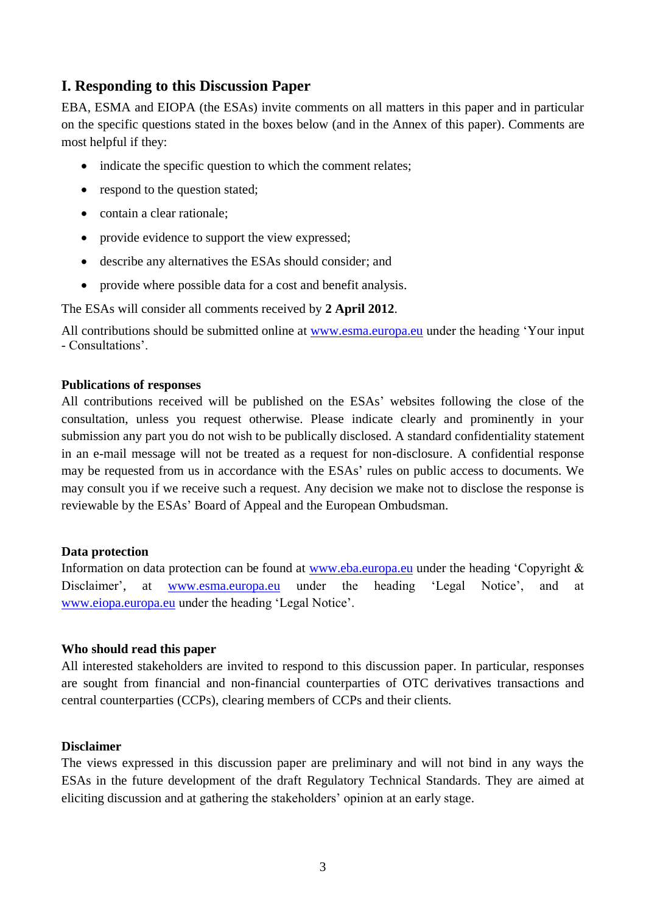# **I. Responding to this Discussion Paper**

EBA, ESMA and EIOPA (the ESAs) invite comments on all matters in this paper and in particular on the specific questions stated in the boxes below (and in the Annex of this paper). Comments are most helpful if they:

- indicate the specific question to which the comment relates;
- respond to the question stated;
- contain a clear rationale;
- provide evidence to support the view expressed:
- describe any alternatives the ESAs should consider; and
- provide where possible data for a cost and benefit analysis.

The ESAs will consider all comments received by **2 April 2012**.

All contributions should be submitted online at [www.esma.europa.eu](http://www.esma.europa.eu/) under the heading "Your input - Consultations".

### **Publications of responses**

All contributions received will be published on the ESAs' websites following the close of the consultation, unless you request otherwise. Please indicate clearly and prominently in your submission any part you do not wish to be publically disclosed. A standard confidentiality statement in an e-mail message will not be treated as a request for non-disclosure. A confidential response may be requested from us in accordance with the ESAs" rules on public access to documents. We may consult you if we receive such a request. Any decision we make not to disclose the response is reviewable by the ESAs" Board of Appeal and the European Ombudsman.

### **Data protection**

Information on data protection can be found at [www.eba.europa.eu](http://www.eba.europa.eu/) under the heading 'Copyright & Disclaimer', at [www.esma.europa.eu](http://www.esma.europa.eu/) under the heading 'Legal Notice', and at www.eiopa.europa.eu under the heading "Legal Notice".

### **Who should read this paper**

All interested stakeholders are invited to respond to this discussion paper. In particular, responses are sought from financial and non-financial counterparties of OTC derivatives transactions and central counterparties (CCPs), clearing members of CCPs and their clients.

### **Disclaimer**

The views expressed in this discussion paper are preliminary and will not bind in any ways the ESAs in the future development of the draft Regulatory Technical Standards. They are aimed at eliciting discussion and at gathering the stakeholders" opinion at an early stage.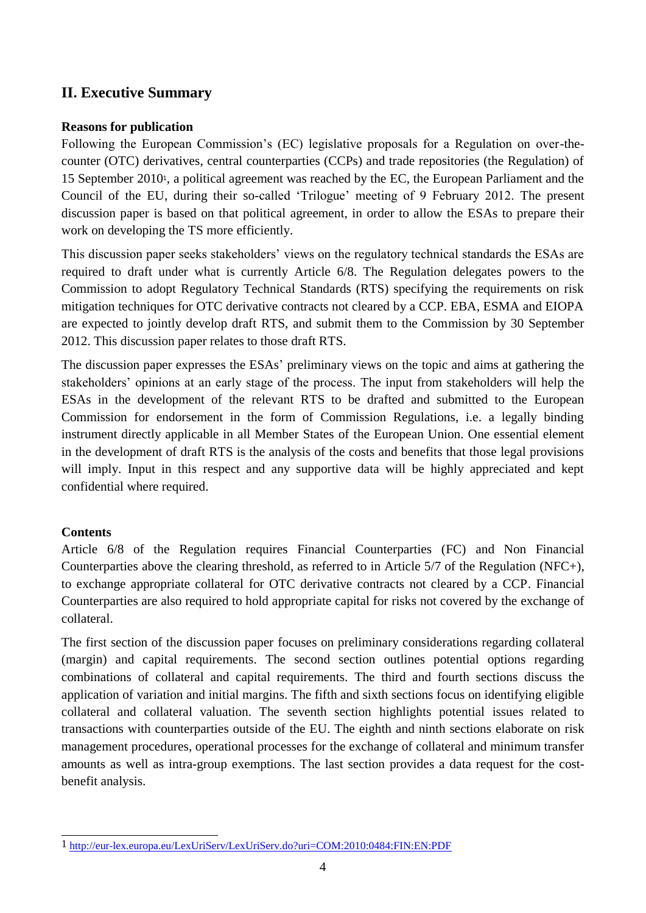# **II. Executive Summary**

### **Reasons for publication**

Following the European Commission"s (EC) legislative proposals for a Regulation on over-thecounter (OTC) derivatives, central counterparties (CCPs) and trade repositories (the Regulation) of 15 September 20101, a political agreement was reached by the EC, the European Parliament and the Council of the EU, during their so-called "Trilogue" meeting of 9 February 2012. The present discussion paper is based on that political agreement, in order to allow the ESAs to prepare their work on developing the TS more efficiently.

This discussion paper seeks stakeholders' views on the regulatory technical standards the ESAs are required to draft under what is currently Article 6/8. The Regulation delegates powers to the Commission to adopt Regulatory Technical Standards (RTS) specifying the requirements on risk mitigation techniques for OTC derivative contracts not cleared by a CCP. EBA, ESMA and EIOPA are expected to jointly develop draft RTS, and submit them to the Commission by 30 September 2012. This discussion paper relates to those draft RTS.

The discussion paper expresses the ESAs' preliminary views on the topic and aims at gathering the stakeholders" opinions at an early stage of the process. The input from stakeholders will help the ESAs in the development of the relevant RTS to be drafted and submitted to the European Commission for endorsement in the form of Commission Regulations, i.e. a legally binding instrument directly applicable in all Member States of the European Union. One essential element in the development of draft RTS is the analysis of the costs and benefits that those legal provisions will imply. Input in this respect and any supportive data will be highly appreciated and kept confidential where required.

### **Contents**

Article 6/8 of the Regulation requires Financial Counterparties (FC) and Non Financial Counterparties above the clearing threshold, as referred to in Article 5/7 of the Regulation (NFC+), to exchange appropriate collateral for OTC derivative contracts not cleared by a CCP. Financial Counterparties are also required to hold appropriate capital for risks not covered by the exchange of collateral.

The first section of the discussion paper focuses on preliminary considerations regarding collateral (margin) and capital requirements. The second section outlines potential options regarding combinations of collateral and capital requirements. The third and fourth sections discuss the application of variation and initial margins. The fifth and sixth sections focus on identifying eligible collateral and collateral valuation. The seventh section highlights potential issues related to transactions with counterparties outside of the EU. The eighth and ninth sections elaborate on risk management procedures, operational processes for the exchange of collateral and minimum transfer amounts as well as intra-group exemptions. The last section provides a data request for the costbenefit analysis.

 $\overline{a}$ 1 <http://eur-lex.europa.eu/LexUriServ/LexUriServ.do?uri=COM:2010:0484:FIN:EN:PDF>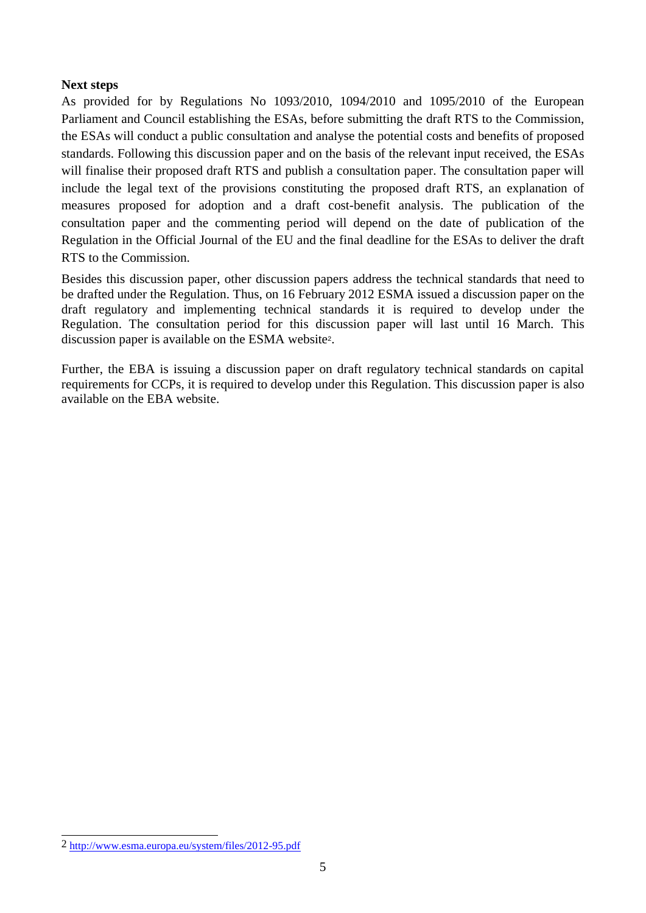### **Next steps**

As provided for by Regulations No 1093/2010, 1094/2010 and 1095/2010 of the European Parliament and Council establishing the ESAs, before submitting the draft RTS to the Commission, the ESAs will conduct a public consultation and analyse the potential costs and benefits of proposed standards. Following this discussion paper and on the basis of the relevant input received, the ESAs will finalise their proposed draft RTS and publish a consultation paper. The consultation paper will include the legal text of the provisions constituting the proposed draft RTS, an explanation of measures proposed for adoption and a draft cost-benefit analysis. The publication of the consultation paper and the commenting period will depend on the date of publication of the Regulation in the Official Journal of the EU and the final deadline for the ESAs to deliver the draft RTS to the Commission.

Besides this discussion paper, other discussion papers address the technical standards that need to be drafted under the Regulation. Thus, on 16 February 2012 ESMA issued a discussion paper on the draft regulatory and implementing technical standards it is required to develop under the Regulation. The consultation period for this discussion paper will last until 16 March. This discussion paper is available on the ESMA website2.

Further, the EBA is issuing a discussion paper on draft regulatory technical standards on capital requirements for CCPs, it is required to develop under this Regulation. This discussion paper is also available on the EBA website.

 $\overline{a}$ 2 http://www.esma.europa.eu/system/files/2012-95.pdf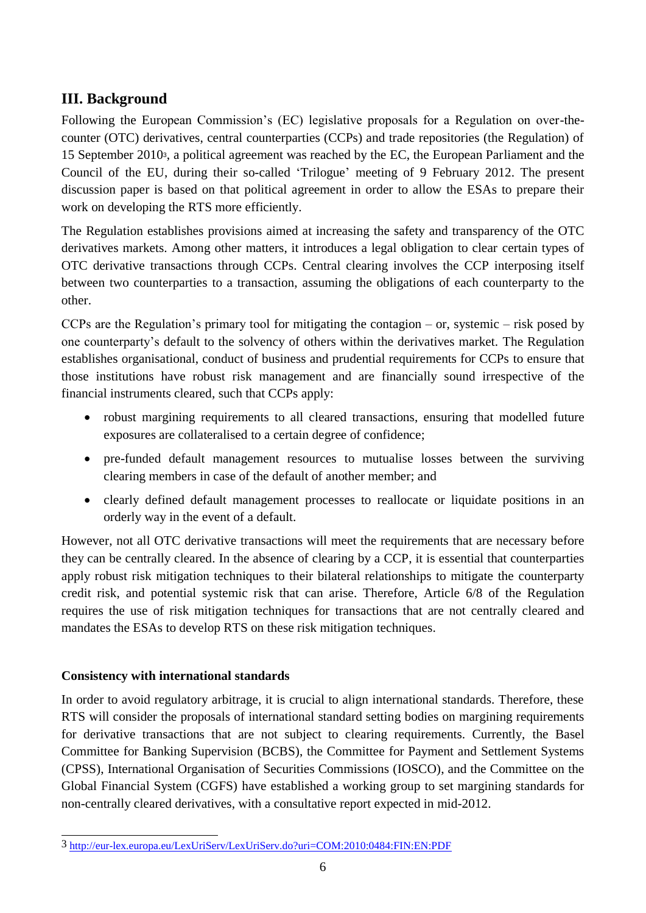# **III. Background**

Following the European Commission's (EC) legislative proposals for a Regulation on over-thecounter (OTC) derivatives, central counterparties (CCPs) and trade repositories (the Regulation) of 15 September 20103, a political agreement was reached by the EC, the European Parliament and the Council of the EU, during their so-called "Trilogue" meeting of 9 February 2012. The present discussion paper is based on that political agreement in order to allow the ESAs to prepare their work on developing the RTS more efficiently.

The Regulation establishes provisions aimed at increasing the safety and transparency of the OTC derivatives markets. Among other matters, it introduces a legal obligation to clear certain types of OTC derivative transactions through CCPs. Central clearing involves the CCP interposing itself between two counterparties to a transaction, assuming the obligations of each counterparty to the other.

CCPs are the Regulation's primary tool for mitigating the contagion – or, systemic – risk posed by one counterparty"s default to the solvency of others within the derivatives market. The Regulation establishes organisational, conduct of business and prudential requirements for CCPs to ensure that those institutions have robust risk management and are financially sound irrespective of the financial instruments cleared, such that CCPs apply:

- robust margining requirements to all cleared transactions, ensuring that modelled future exposures are collateralised to a certain degree of confidence;
- pre-funded default management resources to mutualise losses between the surviving clearing members in case of the default of another member; and
- clearly defined default management processes to reallocate or liquidate positions in an orderly way in the event of a default.

However, not all OTC derivative transactions will meet the requirements that are necessary before they can be centrally cleared. In the absence of clearing by a CCP, it is essential that counterparties apply robust risk mitigation techniques to their bilateral relationships to mitigate the counterparty credit risk, and potential systemic risk that can arise. Therefore, Article 6/8 of the Regulation requires the use of risk mitigation techniques for transactions that are not centrally cleared and mandates the ESAs to develop RTS on these risk mitigation techniques.

# **Consistency with international standards**

In order to avoid regulatory arbitrage, it is crucial to align international standards. Therefore, these RTS will consider the proposals of international standard setting bodies on margining requirements for derivative transactions that are not subject to clearing requirements. Currently, the Basel Committee for Banking Supervision (BCBS), the Committee for Payment and Settlement Systems (CPSS), International Organisation of Securities Commissions (IOSCO), and the Committee on the Global Financial System (CGFS) have established a working group to set margining standards for non-centrally cleared derivatives, with a consultative report expected in mid-2012.

 $\overline{\phantom{a}}$ 3 <http://eur-lex.europa.eu/LexUriServ/LexUriServ.do?uri=COM:2010:0484:FIN:EN:PDF>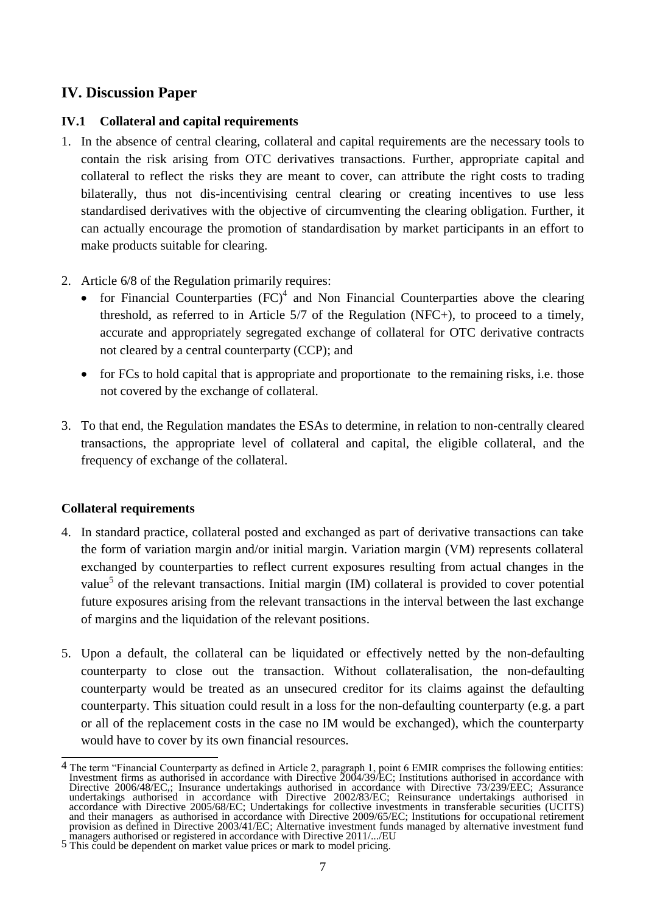# **IV. Discussion Paper**

# **IV.1 Collateral and capital requirements**

- 1. In the absence of central clearing, collateral and capital requirements are the necessary tools to contain the risk arising from OTC derivatives transactions. Further, appropriate capital and collateral to reflect the risks they are meant to cover, can attribute the right costs to trading bilaterally, thus not dis-incentivising central clearing or creating incentives to use less standardised derivatives with the objective of circumventing the clearing obligation. Further, it can actually encourage the promotion of standardisation by market participants in an effort to make products suitable for clearing.
- 2. Article 6/8 of the Regulation primarily requires:
	- for Financial Counterparties  $(FC)^4$  and Non Financial Counterparties above the clearing threshold, as referred to in Article 5/7 of the Regulation (NFC+), to proceed to a timely, accurate and appropriately segregated exchange of collateral for OTC derivative contracts not cleared by a central counterparty (CCP); and
	- for FCs to hold capital that is appropriate and proportionate to the remaining risks, i.e. those not covered by the exchange of collateral.
- 3. To that end, the Regulation mandates the ESAs to determine, in relation to non-centrally cleared transactions, the appropriate level of collateral and capital, the eligible collateral, and the frequency of exchange of the collateral.

### **Collateral requirements**

- 4. In standard practice, collateral posted and exchanged as part of derivative transactions can take the form of variation margin and/or initial margin. Variation margin (VM) represents collateral exchanged by counterparties to reflect current exposures resulting from actual changes in the value<sup>5</sup> of the relevant transactions. Initial margin (IM) collateral is provided to cover potential future exposures arising from the relevant transactions in the interval between the last exchange of margins and the liquidation of the relevant positions.
- 5. Upon a default, the collateral can be liquidated or effectively netted by the non-defaulting counterparty to close out the transaction. Without collateralisation, the non-defaulting counterparty would be treated as an unsecured creditor for its claims against the defaulting counterparty. This situation could result in a loss for the non-defaulting counterparty (e.g. a part or all of the replacement costs in the case no IM would be exchanged), which the counterparty would have to cover by its own financial resources.

<sup>&</sup>lt;u>.</u> 4 The term "Financial Counterparty as defined in Article 2, paragraph 1, point 6 EMIR comprises the following entities: Investment firms as authorised in accordance with Directive 2004/39/EC; Institutions authorised in accordance with Directive 2006/48/EC,; Insurance undertakings authorised in accordance with Directive 73/239/EEC; Assurance undertakings authorised in accordance with Directive 2002/83/EC; Reinsurance undertakings authorised in accordance with Directive 2005/68/EC; Undertakings for collective investments in transferable securities (UCITS) and their managers as authorised in accordance with Directive 2009/65/EC; Institutions for occupational retirement provision as defined in Directive 2003/41/EC; Alternative investment funds managed by alternative investment fund

managers authorised or registered in accordance with Directive 2011/.../EU 5 This could be dependent on market value prices or mark to model pricing.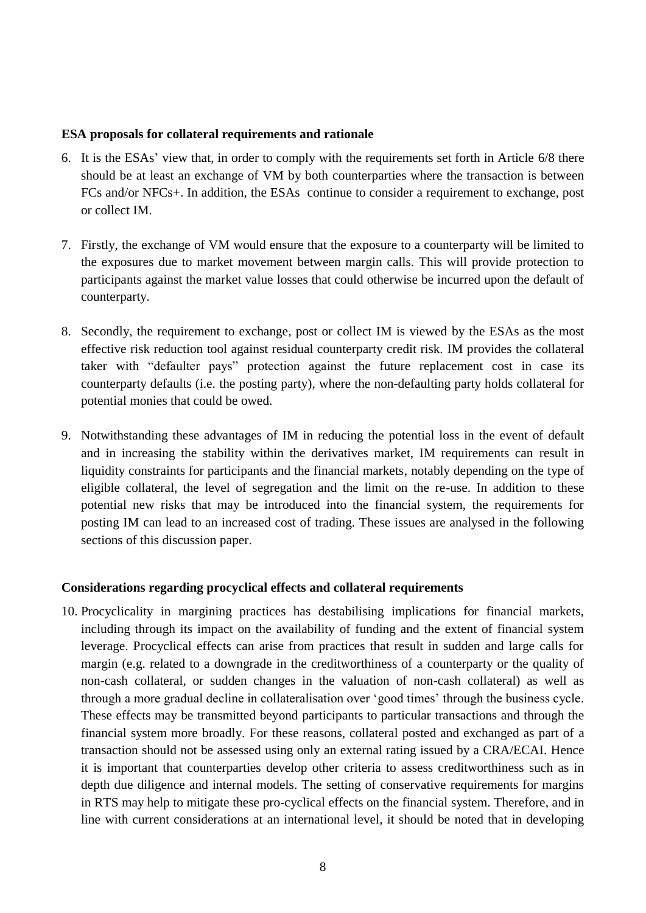#### **ESA proposals for collateral requirements and rationale**

- 6. It is the ESAs" view that, in order to comply with the requirements set forth in Article 6/8 there should be at least an exchange of VM by both counterparties where the transaction is between FCs and/or NFCs+. In addition, the ESAs continue to consider a requirement to exchange, post or collect IM.
- 7. Firstly, the exchange of VM would ensure that the exposure to a counterparty will be limited to the exposures due to market movement between margin calls. This will provide protection to participants against the market value losses that could otherwise be incurred upon the default of counterparty.
- 8. Secondly, the requirement to exchange, post or collect IM is viewed by the ESAs as the most effective risk reduction tool against residual counterparty credit risk. IM provides the collateral taker with "defaulter pays" protection against the future replacement cost in case its counterparty defaults (i.e. the posting party), where the non-defaulting party holds collateral for potential monies that could be owed.
- 9. Notwithstanding these advantages of IM in reducing the potential loss in the event of default and in increasing the stability within the derivatives market, IM requirements can result in liquidity constraints for participants and the financial markets, notably depending on the type of eligible collateral, the level of segregation and the limit on the re-use. In addition to these potential new risks that may be introduced into the financial system, the requirements for posting IM can lead to an increased cost of trading. These issues are analysed in the following sections of this discussion paper.

### **Considerations regarding procyclical effects and collateral requirements**

10. Procyclicality in margining practices has destabilising implications for financial markets, including through its impact on the availability of funding and the extent of financial system leverage. Procyclical effects can arise from practices that result in sudden and large calls for margin (e.g. related to a downgrade in the creditworthiness of a counterparty or the quality of non-cash collateral, or sudden changes in the valuation of non-cash collateral) as well as through a more gradual decline in collateralisation over "good times" through the business cycle. These effects may be transmitted beyond participants to particular transactions and through the financial system more broadly. For these reasons, collateral posted and exchanged as part of a transaction should not be assessed using only an external rating issued by a CRA/ECAI. Hence it is important that counterparties develop other criteria to assess creditworthiness such as in depth due diligence and internal models. The setting of conservative requirements for margins in RTS may help to mitigate these pro-cyclical effects on the financial system. Therefore, and in line with current considerations at an international level, it should be noted that in developing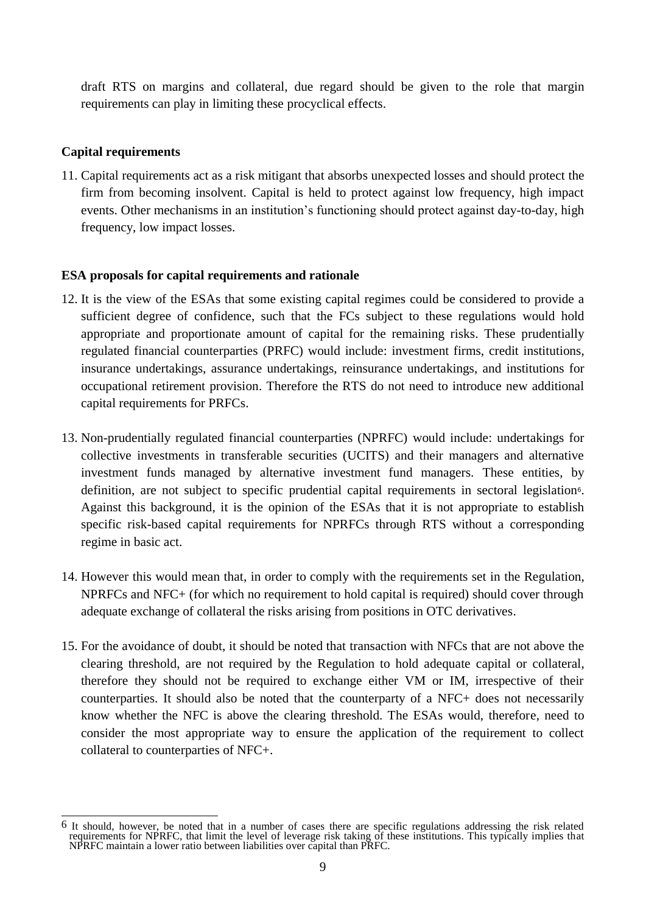draft RTS on margins and collateral, due regard should be given to the role that margin requirements can play in limiting these procyclical effects.

## **Capital requirements**

11. Capital requirements act as a risk mitigant that absorbs unexpected losses and should protect the firm from becoming insolvent. Capital is held to protect against low frequency, high impact events. Other mechanisms in an institution"s functioning should protect against day-to-day, high frequency, low impact losses.

### **ESA proposals for capital requirements and rationale**

- 12. It is the view of the ESAs that some existing capital regimes could be considered to provide a sufficient degree of confidence, such that the FCs subject to these regulations would hold appropriate and proportionate amount of capital for the remaining risks. These prudentially regulated financial counterparties (PRFC) would include: investment firms, credit institutions, insurance undertakings, assurance undertakings, reinsurance undertakings, and institutions for occupational retirement provision. Therefore the RTS do not need to introduce new additional capital requirements for PRFCs.
- 13. Non-prudentially regulated financial counterparties (NPRFC) would include: undertakings for collective investments in transferable securities (UCITS) and their managers and alternative investment funds managed by alternative investment fund managers. These entities, by definition, are not subject to specific prudential capital requirements in sectoral legislation6. Against this background, it is the opinion of the ESAs that it is not appropriate to establish specific risk-based capital requirements for NPRFCs through RTS without a corresponding regime in basic act.
- 14. However this would mean that, in order to comply with the requirements set in the Regulation, NPRFCs and NFC+ (for which no requirement to hold capital is required) should cover through adequate exchange of collateral the risks arising from positions in OTC derivatives.
- 15. For the avoidance of doubt, it should be noted that transaction with NFCs that are not above the clearing threshold, are not required by the Regulation to hold adequate capital or collateral, therefore they should not be required to exchange either VM or IM, irrespective of their counterparties. It should also be noted that the counterparty of a NFC+ does not necessarily know whether the NFC is above the clearing threshold. The ESAs would, therefore, need to consider the most appropriate way to ensure the application of the requirement to collect collateral to counterparties of NFC+.

 $\overline{\phantom{a}}$ 6 It should, however, be noted that in a number of cases there are specific regulations addressing the risk related requirements for NPRFC, that limit the level of leverage risk taking of these institutions. This typically implies that NPRFC maintain a lower ratio between liabilities over capital than PRFC.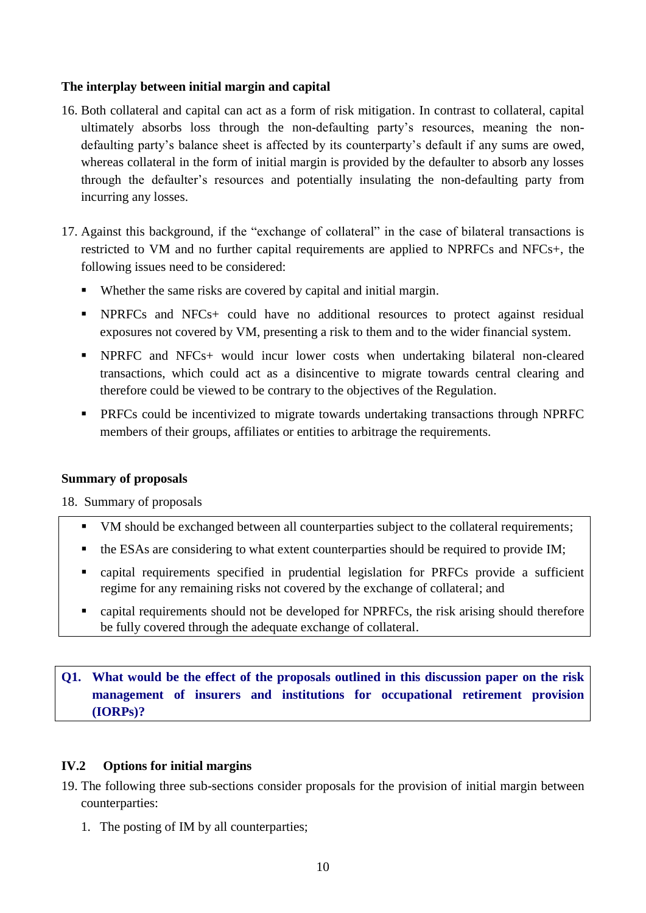# **The interplay between initial margin and capital**

- 16. Both collateral and capital can act as a form of risk mitigation. In contrast to collateral, capital ultimately absorbs loss through the non-defaulting party"s resources, meaning the nondefaulting party"s balance sheet is affected by its counterparty"s default if any sums are owed, whereas collateral in the form of initial margin is provided by the defaulter to absorb any losses through the defaulter"s resources and potentially insulating the non-defaulting party from incurring any losses.
- 17. Against this background, if the "exchange of collateral" in the case of bilateral transactions is restricted to VM and no further capital requirements are applied to NPRFCs and NFCs+, the following issues need to be considered:
	- Whether the same risks are covered by capital and initial margin.
	- **NPRFCs** and NFCs+ could have no additional resources to protect against residual exposures not covered by VM, presenting a risk to them and to the wider financial system.
	- NPRFC and NFCs+ would incur lower costs when undertaking bilateral non-cleared transactions, which could act as a disincentive to migrate towards central clearing and therefore could be viewed to be contrary to the objectives of the Regulation.
	- PRFCs could be incentivized to migrate towards undertaking transactions through NPRFC members of their groups, affiliates or entities to arbitrage the requirements.

### **Summary of proposals**

18. Summary of proposals

- VM should be exchanged between all counterparties subject to the collateral requirements;
- the ESAs are considering to what extent counterparties should be required to provide IM;
- capital requirements specified in prudential legislation for PRFCs provide a sufficient regime for any remaining risks not covered by the exchange of collateral; and
- capital requirements should not be developed for NPRFCs, the risk arising should therefore be fully covered through the adequate exchange of collateral.

# **Q1. What would be the effect of the proposals outlined in this discussion paper on the risk management of insurers and [institutions for occupational retirement provision](http://www.google.pl/url?sa=t&rct=j&q=iorp&source=web&cd=1&ved=0CDsQFjAA&url=http%3A%2F%2Feuropa.eu%2Flegislation_summaries%2Femployment_and_social_policy%2Fsocial_protection%2Fl24038b_en.htm&ei=xJFQT4WGNvS00QWiyuH7Cw&usg=AFQjCNEzy5zPUH66Lb9_m40iNXSPJYn-pg) (IORPs)?**

# **IV.2 Options for initial margins**

- 19. The following three sub-sections consider proposals for the provision of initial margin between counterparties:
	- 1. The posting of IM by all counterparties;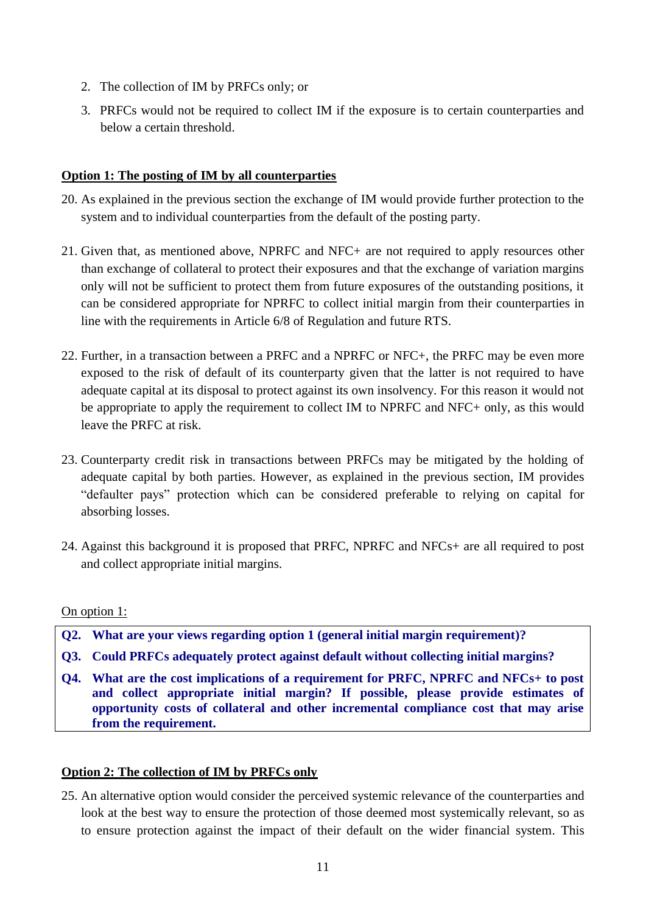- 2. The collection of IM by PRFCs only; or
- 3. PRFCs would not be required to collect IM if the exposure is to certain counterparties and below a certain threshold.

# **Option 1: The posting of IM by all counterparties**

- 20. As explained in the previous section the exchange of IM would provide further protection to the system and to individual counterparties from the default of the posting party.
- 21. Given that, as mentioned above, NPRFC and NFC+ are not required to apply resources other than exchange of collateral to protect their exposures and that the exchange of variation margins only will not be sufficient to protect them from future exposures of the outstanding positions, it can be considered appropriate for NPRFC to collect initial margin from their counterparties in line with the requirements in Article 6/8 of Regulation and future RTS.
- 22. Further, in a transaction between a PRFC and a NPRFC or NFC+, the PRFC may be even more exposed to the risk of default of its counterparty given that the latter is not required to have adequate capital at its disposal to protect against its own insolvency. For this reason it would not be appropriate to apply the requirement to collect IM to NPRFC and NFC+ only, as this would leave the PRFC at risk.
- 23. Counterparty credit risk in transactions between PRFCs may be mitigated by the holding of adequate capital by both parties. However, as explained in the previous section, IM provides "defaulter pays" protection which can be considered preferable to relying on capital for absorbing losses.
- 24. Against this background it is proposed that PRFC, NPRFC and NFCs+ are all required to post and collect appropriate initial margins.

### On option 1:

- **Q2. What are your views regarding option 1 (general initial margin requirement)?**
- **Q3. Could PRFCs adequately protect against default without collecting initial margins?**
- **Q4. What are the cost implications of a requirement for PRFC, NPRFC and NFCs+ to post and collect appropriate initial margin? If possible, please provide estimates of opportunity costs of collateral and other incremental compliance cost that may arise from the requirement.**

### **Option 2: The collection of IM by PRFCs only**

25. An alternative option would consider the perceived systemic relevance of the counterparties and look at the best way to ensure the protection of those deemed most systemically relevant, so as to ensure protection against the impact of their default on the wider financial system. This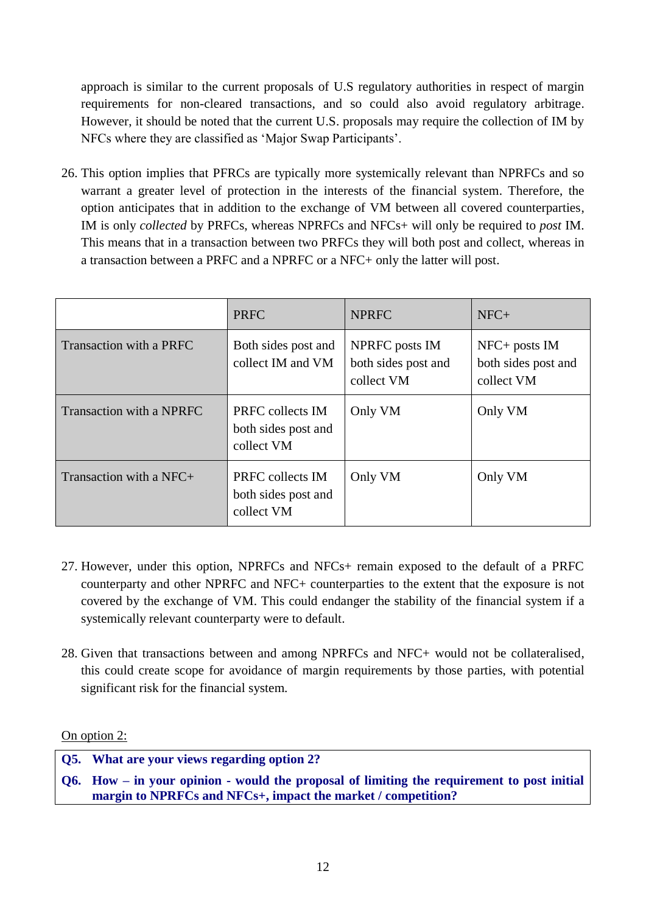approach is similar to the current proposals of U.S regulatory authorities in respect of margin requirements for non-cleared transactions, and so could also avoid regulatory arbitrage. However, it should be noted that the current U.S. proposals may require the collection of IM by NFCs where they are classified as "Major Swap Participants".

26. This option implies that PFRCs are typically more systemically relevant than NPRFCs and so warrant a greater level of protection in the interests of the financial system. Therefore, the option anticipates that in addition to the exchange of VM between all covered counterparties, IM is only *collected* by PRFCs, whereas NPRFCs and NFCs+ will only be required to *post* IM. This means that in a transaction between two PRFCs they will both post and collect, whereas in a transaction between a PRFC and a NPRFC or a NFC+ only the latter will post.

|                           | <b>PRFC</b>                                           | <b>NPRFC</b>                                        | $NFC+$                                                 |
|---------------------------|-------------------------------------------------------|-----------------------------------------------------|--------------------------------------------------------|
| Transaction with a PRFC   | Both sides post and<br>collect IM and VM              | NPRFC posts IM<br>both sides post and<br>collect VM | $NFC+$ posts $IM$<br>both sides post and<br>collect VM |
| Transaction with a NPRFC  | PRFC collects IM<br>both sides post and<br>collect VM | Only VM                                             | Only VM                                                |
| Transaction with a $NFC+$ | PRFC collects IM<br>both sides post and<br>collect VM | Only VM                                             | Only VM                                                |

- 27. However, under this option, NPRFCs and NFCs+ remain exposed to the default of a PRFC counterparty and other NPRFC and NFC+ counterparties to the extent that the exposure is not covered by the exchange of VM. This could endanger the stability of the financial system if a systemically relevant counterparty were to default.
- 28. Given that transactions between and among NPRFCs and NFC+ would not be collateralised, this could create scope for avoidance of margin requirements by those parties, with potential significant risk for the financial system.

On option 2:

**Q5. What are your views regarding option 2?**

**Q6. How – in your opinion - would the proposal of limiting the requirement to post initial margin to NPRFCs and NFCs+, impact the market / competition?**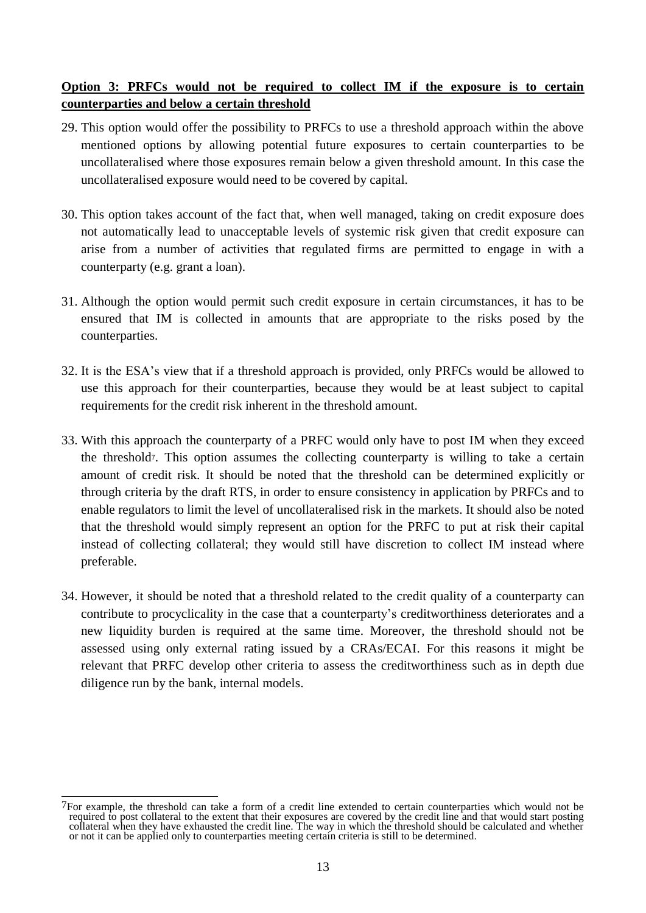# **Option 3: PRFCs would not be required to collect IM if the exposure is to certain counterparties and below a certain threshold**

- 29. This option would offer the possibility to PRFCs to use a threshold approach within the above mentioned options by allowing potential future exposures to certain counterparties to be uncollateralised where those exposures remain below a given threshold amount. In this case the uncollateralised exposure would need to be covered by capital.
- 30. This option takes account of the fact that, when well managed, taking on credit exposure does not automatically lead to unacceptable levels of systemic risk given that credit exposure can arise from a number of activities that regulated firms are permitted to engage in with a counterparty (e.g. grant a loan).
- 31. Although the option would permit such credit exposure in certain circumstances, it has to be ensured that IM is collected in amounts that are appropriate to the risks posed by the counterparties.
- 32. It is the ESA"s view that if a threshold approach is provided, only PRFCs would be allowed to use this approach for their counterparties, because they would be at least subject to capital requirements for the credit risk inherent in the threshold amount.
- 33. With this approach the counterparty of a PRFC would only have to post IM when they exceed the threshold7. This option assumes the collecting counterparty is willing to take a certain amount of credit risk. It should be noted that the threshold can be determined explicitly or through criteria by the draft RTS, in order to ensure consistency in application by PRFCs and to enable regulators to limit the level of uncollateralised risk in the markets. It should also be noted that the threshold would simply represent an option for the PRFC to put at risk their capital instead of collecting collateral; they would still have discretion to collect IM instead where preferable.
- 34. However, it should be noted that a threshold related to the credit quality of a counterparty can contribute to procyclicality in the case that a counterparty"s creditworthiness deteriorates and a new liquidity burden is required at the same time. Moreover, the threshold should not be assessed using only external rating issued by a CRAs/ECAI. For this reasons it might be relevant that PRFC develop other criteria to assess the creditworthiness such as in depth due diligence run by the bank, internal models.

 $\overline{a}$ 7For example, the threshold can take a form of a credit line extended to certain counterparties which would not be required to post collateral to the extent that their exposures are covered by the credit line and that would start posting collateral when they have exhausted the credit line. The way in which the threshold should be calculated and whether or not it can be applied only to counterparties meeting certain criteria is still to be determined.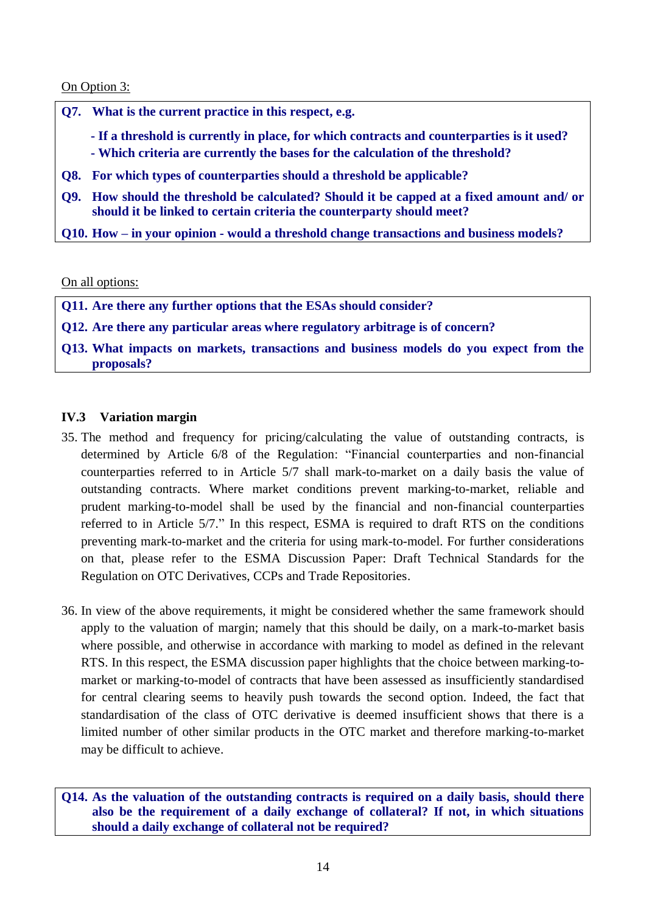On Option 3:

|             | Q7. What is the current practice in this respect, e.g.                                                                                                                       |
|-------------|------------------------------------------------------------------------------------------------------------------------------------------------------------------------------|
|             | - If a threshold is currently in place, for which contracts and counterparties is it used?<br>- Which criteria are currently the bases for the calculation of the threshold? |
|             | Q8. For which types of counterparties should a threshold be applicable?                                                                                                      |
| <b>O</b> 9. | How should the threshold be calculated? Should it be capped at a fixed amount and/or<br>should it be linked to certain criteria the counterparty should meet?                |
|             | Q10. How – in your opinion - would a threshold change transactions and business models?                                                                                      |
|             |                                                                                                                                                                              |

On all options:

**Q11. Are there any further options that the ESAs should consider?** 

**Q12. Are there any particular areas where regulatory arbitrage is of concern?**

**Q13. What impacts on markets, transactions and business models do you expect from the proposals?**

### **IV.3 Variation margin**

- 35. The method and frequency for pricing/calculating the value of outstanding contracts, is determined by Article 6/8 of the Regulation: "Financial counterparties and non-financial counterparties referred to in Article 5/7 shall mark-to-market on a daily basis the value of outstanding contracts. Where market conditions prevent marking-to-market, reliable and prudent marking-to-model shall be used by the financial and non-financial counterparties referred to in Article 5/7." In this respect, ESMA is required to draft RTS on the conditions preventing mark-to-market and the criteria for using mark-to-model. For further considerations on that, please refer to the ESMA Discussion Paper: Draft Technical Standards for the Regulation on OTC Derivatives, CCPs and Trade Repositories.
- 36. In view of the above requirements, it might be considered whether the same framework should apply to the valuation of margin; namely that this should be daily, on a mark-to-market basis where possible, and otherwise in accordance with marking to model as defined in the relevant RTS. In this respect, the ESMA discussion paper highlights that the choice between marking-tomarket or marking-to-model of contracts that have been assessed as insufficiently standardised for central clearing seems to heavily push towards the second option. Indeed, the fact that standardisation of the class of OTC derivative is deemed insufficient shows that there is a limited number of other similar products in the OTC market and therefore marking-to-market may be difficult to achieve.

**Q14. As the valuation of the outstanding contracts is required on a daily basis, should there also be the requirement of a daily exchange of collateral? If not, in which situations should a daily exchange of collateral not be required?**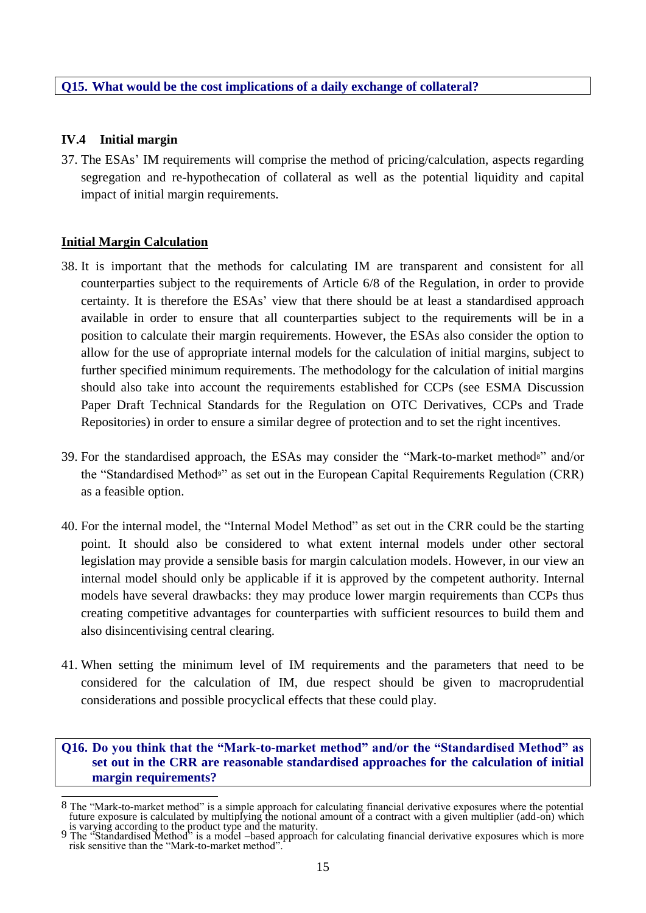### **Q15. What would be the cost implications of a daily exchange of collateral?**

### **IV.4 Initial margin**

37. The ESAs" IM requirements will comprise the method of pricing/calculation, aspects regarding segregation and re-hypothecation of collateral as well as the potential liquidity and capital impact of initial margin requirements.

### **Initial Margin Calculation**

- 38. It is important that the methods for calculating IM are transparent and consistent for all counterparties subject to the requirements of Article 6/8 of the Regulation, in order to provide certainty. It is therefore the ESAs" view that there should be at least a standardised approach available in order to ensure that all counterparties subject to the requirements will be in a position to calculate their margin requirements. However, the ESAs also consider the option to allow for the use of appropriate internal models for the calculation of initial margins, subject to further specified minimum requirements. The methodology for the calculation of initial margins should also take into account the requirements established for CCPs (see ESMA Discussion Paper Draft Technical Standards for the Regulation on OTC Derivatives, CCPs and Trade Repositories) in order to ensure a similar degree of protection and to set the right incentives.
- 39. For the standardised approach, the ESAs may consider the "Mark-to-market method8" and/or the "Standardised Method9" as set out in the European Capital Requirements Regulation (CRR) as a feasible option.
- 40. For the internal model, the "Internal Model Method" as set out in the CRR could be the starting point. It should also be considered to what extent internal models under other sectoral legislation may provide a sensible basis for margin calculation models. However, in our view an internal model should only be applicable if it is approved by the competent authority. Internal models have several drawbacks: they may produce lower margin requirements than CCPs thus creating competitive advantages for counterparties with sufficient resources to build them and also disincentivising central clearing.
- 41. When setting the minimum level of IM requirements and the parameters that need to be considered for the calculation of IM, due respect should be given to macroprudential considerations and possible procyclical effects that these could play.

### **Q16. Do you think that the "Mark-to-market method" and/or the "Standardised Method" as set out in the CRR are reasonable standardised approaches for the calculation of initial margin requirements?**

 $\overline{\phantom{a}}$ 8 The "Mark-to-market method" is a simple approach for calculating financial derivative exposures where the potential future exposure is calculated by multiplying the notional amount of a contract with a given multiplier (add-on) which

is varying according to the product type and the maturity. 9 The "Standardised Method" is a model –based approach for calculating financial derivative exposures which is more risk sensitive than the "Mark-to-market method".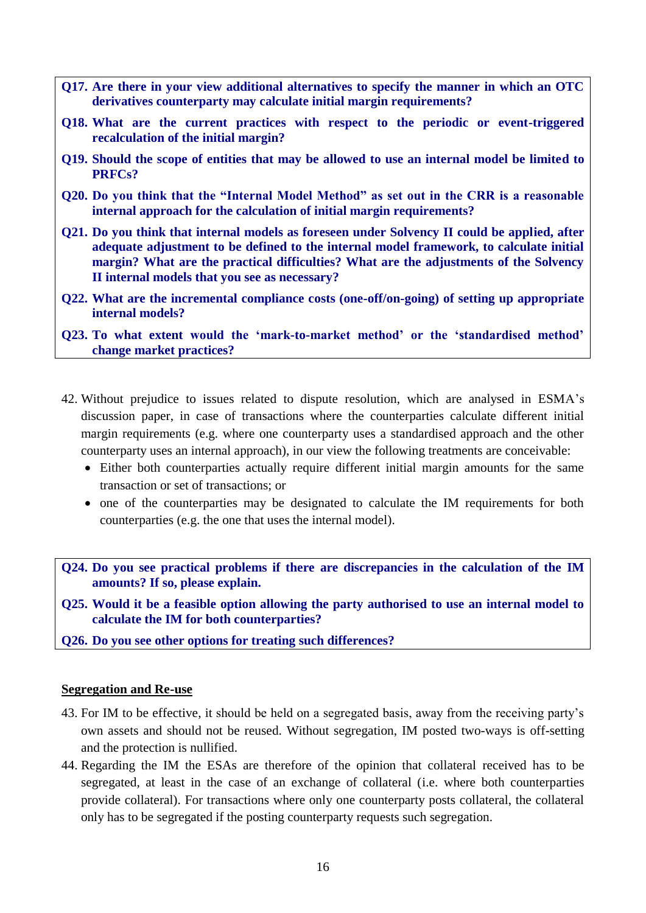- **Q17. Are there in your view additional alternatives to specify the manner in which an OTC derivatives counterparty may calculate initial margin requirements?**
- **Q18. What are the current practices with respect to the periodic or event-triggered recalculation of the initial margin?**
- **Q19. Should the scope of entities that may be allowed to use an internal model be limited to PRFCs?**
- **Q20. Do you think that the "Internal Model Method" as set out in the CRR is a reasonable internal approach for the calculation of initial margin requirements?**
- **Q21. Do you think that internal models as foreseen under Solvency II could be applied, after adequate adjustment to be defined to the internal model framework, to calculate initial margin? What are the practical difficulties? What are the adjustments of the Solvency II internal models that you see as necessary?**
- **Q22. What are the incremental compliance costs (one-off/on-going) of setting up appropriate internal models?**
- **Q23. To what extent would the "mark-to-market method" or the "standardised method" change market practices?**
- 42. Without prejudice to issues related to dispute resolution, which are analysed in ESMA"s discussion paper, in case of transactions where the counterparties calculate different initial margin requirements (e.g. where one counterparty uses a standardised approach and the other counterparty uses an internal approach), in our view the following treatments are conceivable:
	- Either both counterparties actually require different initial margin amounts for the same transaction or set of transactions; or
	- one of the counterparties may be designated to calculate the IM requirements for both counterparties (e.g. the one that uses the internal model).
- **Q24. Do you see practical problems if there are discrepancies in the calculation of the IM amounts? If so, please explain.**
- **Q25. Would it be a feasible option allowing the party authorised to use an internal model to calculate the IM for both counterparties?**
- **Q26. Do you see other options for treating such differences?**

### **Segregation and Re-use**

- 43. For IM to be effective, it should be held on a segregated basis, away from the receiving party"s own assets and should not be reused. Without segregation, IM posted two-ways is off-setting and the protection is nullified.
- 44. Regarding the IM the ESAs are therefore of the opinion that collateral received has to be segregated, at least in the case of an exchange of collateral (i.e. where both counterparties provide collateral). For transactions where only one counterparty posts collateral, the collateral only has to be segregated if the posting counterparty requests such segregation.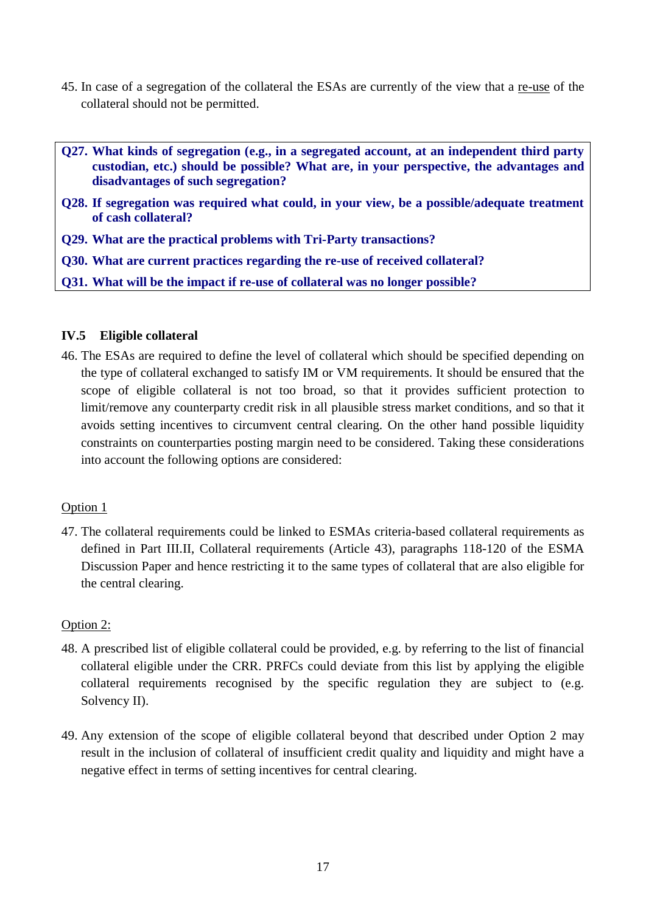- 45. In case of a segregation of the collateral the ESAs are currently of the view that a re-use of the collateral should not be permitted.
- **Q27. What kinds of segregation (e.g., in a segregated account, at an independent third party custodian, etc.) should be possible? What are, in your perspective, the advantages and disadvantages of such segregation?**
- **Q28. If segregation was required what could, in your view, be a possible/adequate treatment of cash collateral?**
- **Q29. What are the practical problems with Tri-Party transactions?**
- **Q30. What are current practices regarding the re-use of received collateral?**
- **Q31. What will be the impact if re-use of collateral was no longer possible?**

### **IV.5 Eligible collateral**

46. The ESAs are required to define the level of collateral which should be specified depending on the type of collateral exchanged to satisfy IM or VM requirements. It should be ensured that the scope of eligible collateral is not too broad, so that it provides sufficient protection to limit/remove any counterparty credit risk in all plausible stress market conditions, and so that it avoids setting incentives to circumvent central clearing. On the other hand possible liquidity constraints on counterparties posting margin need to be considered. Taking these considerations into account the following options are considered:

### Option 1

47. The collateral requirements could be linked to ESMAs criteria-based collateral requirements as defined in Part III.II, Collateral requirements (Article 43), paragraphs 118-120 of the ESMA Discussion Paper and hence restricting it to the same types of collateral that are also eligible for the central clearing.

### Option 2:

- 48. A prescribed list of eligible collateral could be provided, e.g. by referring to the list of financial collateral eligible under the CRR. PRFCs could deviate from this list by applying the eligible collateral requirements recognised by the specific regulation they are subject to (e.g. Solvency II).
- 49. Any extension of the scope of eligible collateral beyond that described under Option 2 may result in the inclusion of collateral of insufficient credit quality and liquidity and might have a negative effect in terms of setting incentives for central clearing.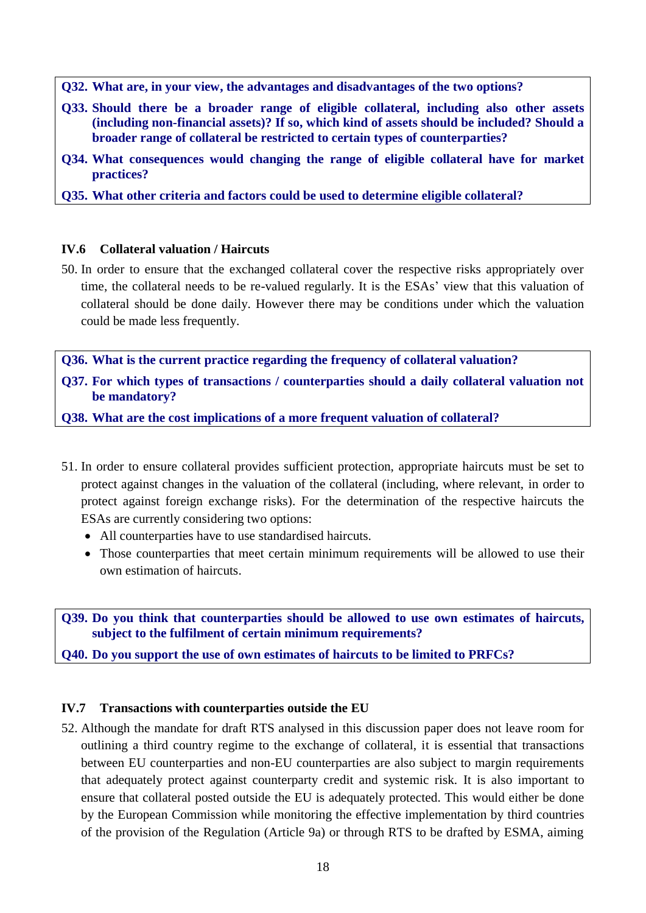**Q32. What are, in your view, the advantages and disadvantages of the two options?**

- **Q33. Should there be a broader range of eligible collateral, including also other assets (including non-financial assets)? If so, which kind of assets should be included? Should a broader range of collateral be restricted to certain types of counterparties?**
- **Q34. What consequences would changing the range of eligible collateral have for market practices?**

**Q35. What other criteria and factors could be used to determine eligible collateral?**

### **IV.6 Collateral valuation / Haircuts**

50. In order to ensure that the exchanged collateral cover the respective risks appropriately over time, the collateral needs to be re-valued regularly. It is the ESAs' view that this valuation of collateral should be done daily. However there may be conditions under which the valuation could be made less frequently.

**Q36. What is the current practice regarding the frequency of collateral valuation?**

**Q37. For which types of transactions / counterparties should a daily collateral valuation not be mandatory?**

**Q38. What are the cost implications of a more frequent valuation of collateral?**

- 51. In order to ensure collateral provides sufficient protection, appropriate haircuts must be set to protect against changes in the valuation of the collateral (including, where relevant, in order to protect against foreign exchange risks). For the determination of the respective haircuts the ESAs are currently considering two options:
	- All counterparties have to use standardised haircuts.
	- Those counterparties that meet certain minimum requirements will be allowed to use their own estimation of haircuts.

**Q39. Do you think that counterparties should be allowed to use own estimates of haircuts, subject to the fulfilment of certain minimum requirements?**

**Q40. Do you support the use of own estimates of haircuts to be limited to PRFCs?** 

### **IV.7 Transactions with counterparties outside the EU**

52. Although the mandate for draft RTS analysed in this discussion paper does not leave room for outlining a third country regime to the exchange of collateral, it is essential that transactions between EU counterparties and non-EU counterparties are also subject to margin requirements that adequately protect against counterparty credit and systemic risk. It is also important to ensure that collateral posted outside the EU is adequately protected. This would either be done by the European Commission while monitoring the effective implementation by third countries of the provision of the Regulation (Article 9a) or through RTS to be drafted by ESMA, aiming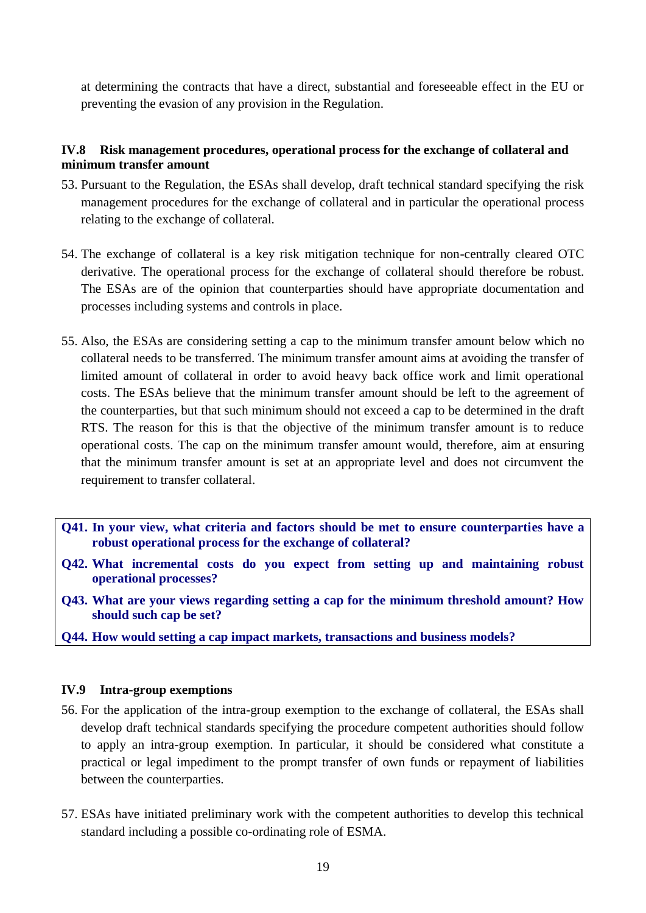at determining the contracts that have a direct, substantial and foreseeable effect in the EU or preventing the evasion of any provision in the Regulation.

### **IV.8 Risk management procedures, operational process for the exchange of collateral and minimum transfer amount**

- 53. Pursuant to the Regulation, the ESAs shall develop, draft technical standard specifying the risk management procedures for the exchange of collateral and in particular the operational process relating to the exchange of collateral.
- 54. The exchange of collateral is a key risk mitigation technique for non-centrally cleared OTC derivative. The operational process for the exchange of collateral should therefore be robust. The ESAs are of the opinion that counterparties should have appropriate documentation and processes including systems and controls in place.
- 55. Also, the ESAs are considering setting a cap to the minimum transfer amount below which no collateral needs to be transferred. The minimum transfer amount aims at avoiding the transfer of limited amount of collateral in order to avoid heavy back office work and limit operational costs. The ESAs believe that the minimum transfer amount should be left to the agreement of the counterparties, but that such minimum should not exceed a cap to be determined in the draft RTS. The reason for this is that the objective of the minimum transfer amount is to reduce operational costs. The cap on the minimum transfer amount would, therefore, aim at ensuring that the minimum transfer amount is set at an appropriate level and does not circumvent the requirement to transfer collateral.
- **Q41. In your view, what criteria and factors should be met to ensure counterparties have a robust operational process for the exchange of collateral?**
- **Q42. What incremental costs do you expect from setting up and maintaining robust operational processes?**
- **Q43. What are your views regarding setting a cap for the minimum threshold amount? How should such cap be set?**
- **Q44. How would setting a cap impact markets, transactions and business models?**

### **IV.9 Intra-group exemptions**

- 56. For the application of the intra-group exemption to the exchange of collateral, the ESAs shall develop draft technical standards specifying the procedure competent authorities should follow to apply an intra-group exemption. In particular, it should be considered what constitute a practical or legal impediment to the prompt transfer of own funds or repayment of liabilities between the counterparties.
- 57. ESAs have initiated preliminary work with the competent authorities to develop this technical standard including a possible co-ordinating role of ESMA.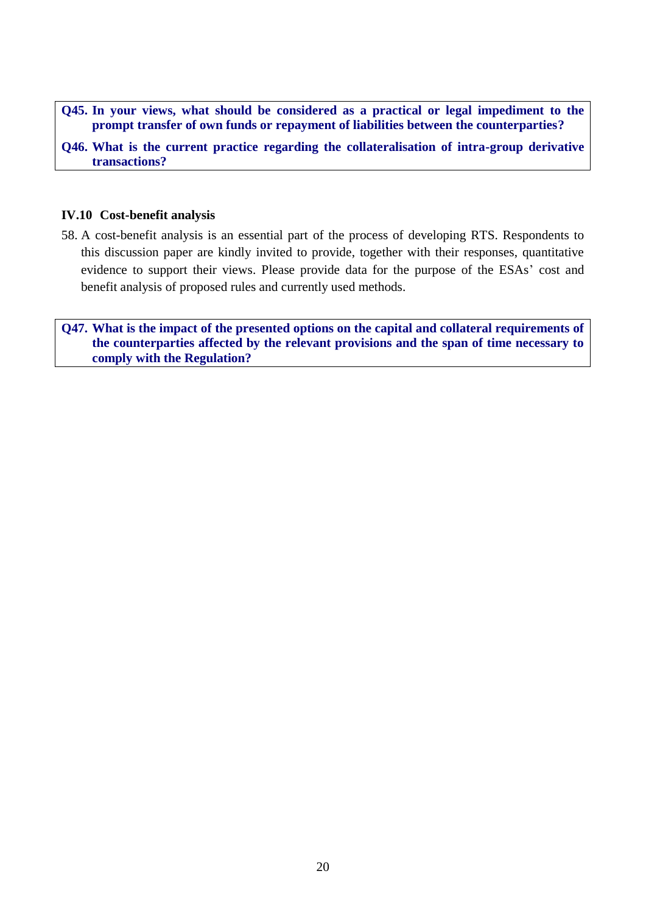**Q45. In your views, what should be considered as a practical or legal impediment to the prompt transfer of own funds or repayment of liabilities between the counterparties?**

**Q46. What is the current practice regarding the collateralisation of intra-group derivative transactions?**

### **IV.10 Cost-benefit analysis**

58. A cost-benefit analysis is an essential part of the process of developing RTS. Respondents to this discussion paper are kindly invited to provide, together with their responses, quantitative evidence to support their views. Please provide data for the purpose of the ESAs" cost and benefit analysis of proposed rules and currently used methods.

**Q47. What is the impact of the presented options on the capital and collateral requirements of the counterparties affected by the relevant provisions and the span of time necessary to comply with the Regulation?**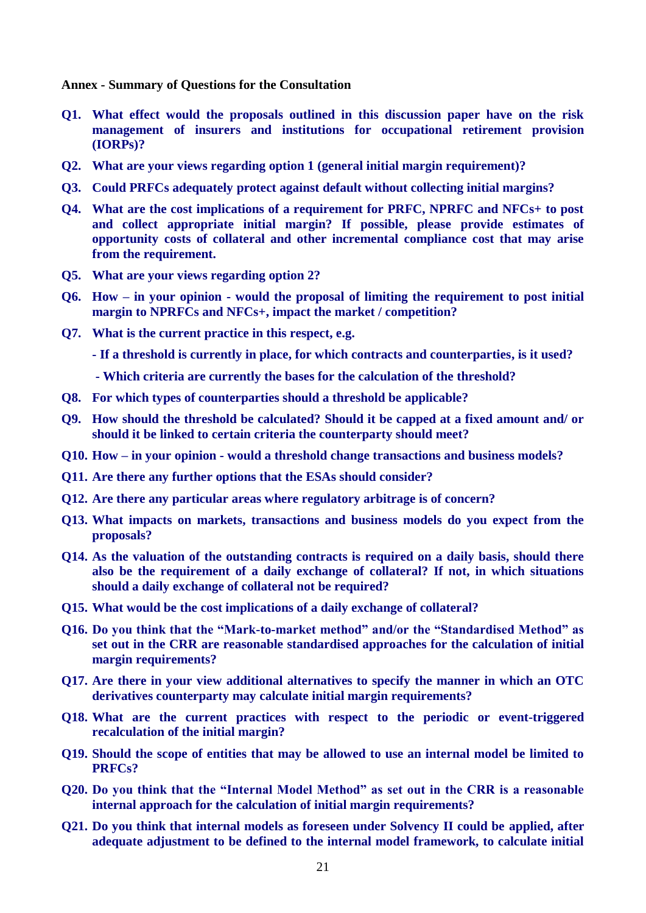**Annex - Summary of Questions for the Consultation**

- **Q1. What effect would the proposals outlined in this discussion paper have on the risk management of insurers and [institutions for occupational retirement provision](http://www.google.pl/url?sa=t&rct=j&q=iorp&source=web&cd=1&ved=0CDsQFjAA&url=http%3A%2F%2Feuropa.eu%2Flegislation_summaries%2Femployment_and_social_policy%2Fsocial_protection%2Fl24038b_en.htm&ei=xJFQT4WGNvS00QWiyuH7Cw&usg=AFQjCNEzy5zPUH66Lb9_m40iNXSPJYn-pg) (IORPs)?**
- **Q2. What are your views regarding option 1 (general initial margin requirement)?**
- **Q3. Could PRFCs adequately protect against default without collecting initial margins?**
- **Q4. What are the cost implications of a requirement for PRFC, NPRFC and NFCs+ to post and collect appropriate initial margin? If possible, please provide estimates of opportunity costs of collateral and other incremental compliance cost that may arise from the requirement.**
- **Q5. What are your views regarding option 2?**
- **Q6. How – in your opinion - would the proposal of limiting the requirement to post initial margin to NPRFCs and NFCs+, impact the market / competition?**
- **Q7. What is the current practice in this respect, e.g.**

**- If a threshold is currently in place, for which contracts and counterparties, is it used?**

- **- Which criteria are currently the bases for the calculation of the threshold?**
- **Q8. For which types of counterparties should a threshold be applicable?**
- **Q9. How should the threshold be calculated? Should it be capped at a fixed amount and/ or should it be linked to certain criteria the counterparty should meet?**
- **Q10. How – in your opinion - would a threshold change transactions and business models?**
- **Q11. Are there any further options that the ESAs should consider?**
- **Q12. Are there any particular areas where regulatory arbitrage is of concern?**
- **Q13. What impacts on markets, transactions and business models do you expect from the proposals?**
- **Q14. As the valuation of the outstanding contracts is required on a daily basis, should there also be the requirement of a daily exchange of collateral? If not, in which situations should a daily exchange of collateral not be required?**
- **Q15. What would be the cost implications of a daily exchange of collateral?**
- **Q16. Do you think that the "Mark-to-market method" and/or the "Standardised Method" as set out in the CRR are reasonable standardised approaches for the calculation of initial margin requirements?**
- **Q17. Are there in your view additional alternatives to specify the manner in which an OTC derivatives counterparty may calculate initial margin requirements?**
- **Q18. What are the current practices with respect to the periodic or event-triggered recalculation of the initial margin?**
- **Q19. Should the scope of entities that may be allowed to use an internal model be limited to PRFCs?**
- **Q20. Do you think that the "Internal Model Method" as set out in the CRR is a reasonable internal approach for the calculation of initial margin requirements?**
- **Q21. Do you think that internal models as foreseen under Solvency II could be applied, after adequate adjustment to be defined to the internal model framework, to calculate initial**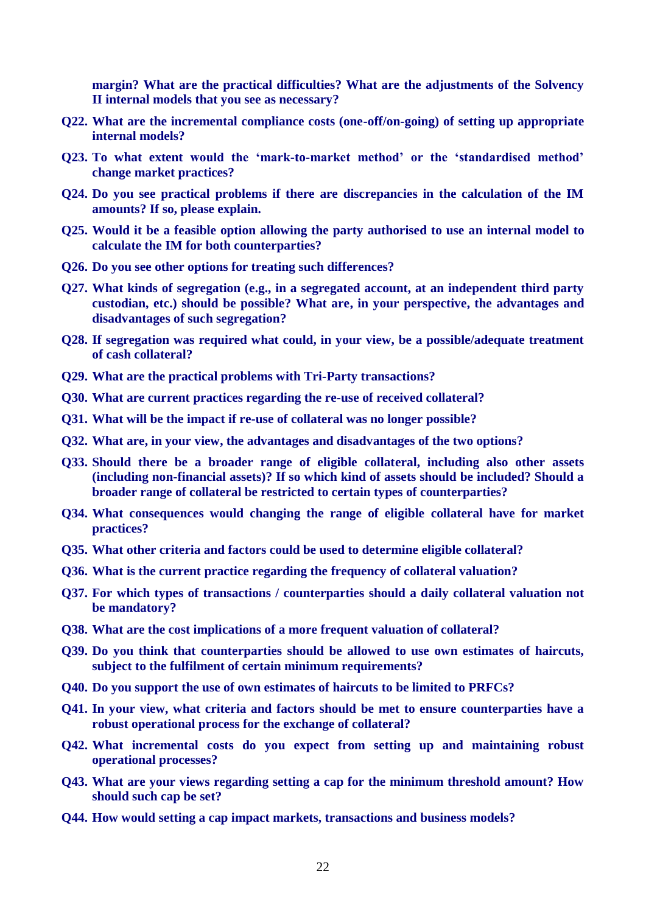**margin? What are the practical difficulties? What are the adjustments of the Solvency II internal models that you see as necessary?** 

- **Q22. What are the incremental compliance costs (one-off/on-going) of setting up appropriate internal models?**
- **Q23. To what extent would the "mark-to-market method" or the "standardised method" change market practices?**
- **Q24. Do you see practical problems if there are discrepancies in the calculation of the IM amounts? If so, please explain.**
- **Q25. Would it be a feasible option allowing the party authorised to use an internal model to calculate the IM for both counterparties?**
- **Q26. Do you see other options for treating such differences?**
- **Q27. What kinds of segregation (e.g., in a segregated account, at an independent third party custodian, etc.) should be possible? What are, in your perspective, the advantages and disadvantages of such segregation?**
- **Q28. If segregation was required what could, in your view, be a possible/adequate treatment of cash collateral?**
- **Q29. What are the practical problems with Tri-Party transactions?**
- **Q30. What are current practices regarding the re-use of received collateral?**
- **Q31. What will be the impact if re-use of collateral was no longer possible?**
- **Q32. What are, in your view, the advantages and disadvantages of the two options?**
- **Q33. Should there be a broader range of eligible collateral, including also other assets (including non-financial assets)? If so which kind of assets should be included? Should a broader range of collateral be restricted to certain types of counterparties?**
- **Q34. What consequences would changing the range of eligible collateral have for market practices?**
- **Q35. What other criteria and factors could be used to determine eligible collateral?**
- **Q36. What is the current practice regarding the frequency of collateral valuation?**
- **Q37. For which types of transactions / counterparties should a daily collateral valuation not be mandatory?**
- **Q38. What are the cost implications of a more frequent valuation of collateral?**
- **Q39. Do you think that counterparties should be allowed to use own estimates of haircuts, subject to the fulfilment of certain minimum requirements?**
- **Q40. Do you support the use of own estimates of haircuts to be limited to PRFCs?**
- **Q41. In your view, what criteria and factors should be met to ensure counterparties have a robust operational process for the exchange of collateral?**
- **Q42. What incremental costs do you expect from setting up and maintaining robust operational processes?**
- **Q43. What are your views regarding setting a cap for the minimum threshold amount? How should such cap be set?**
- **Q44. How would setting a cap impact markets, transactions and business models?**